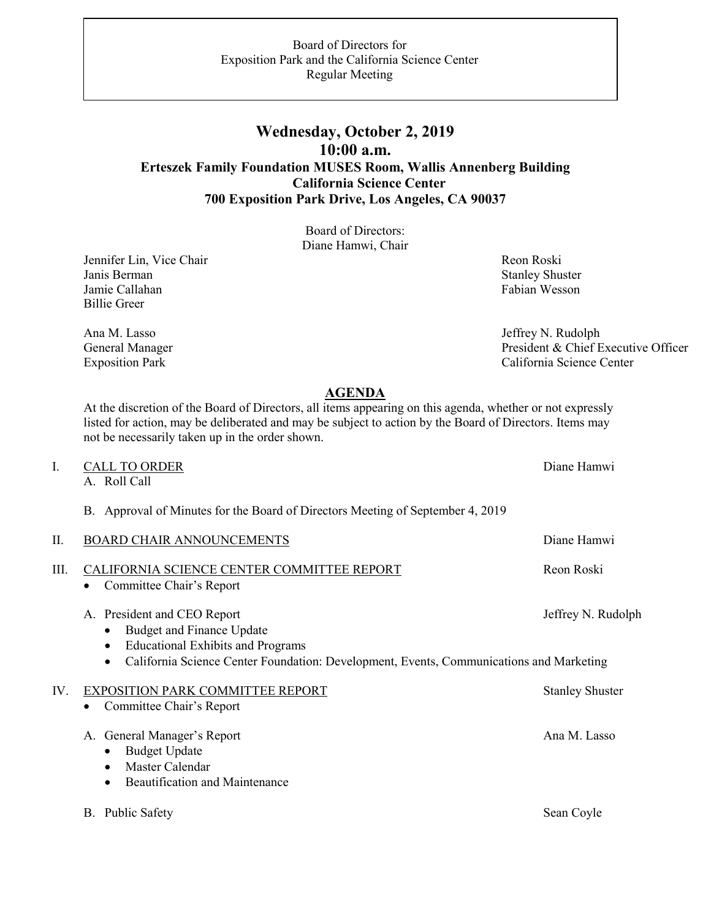## **Wednesday, October 2, 2019 10:00 a.m. Erteszek Family Foundation MUSES Room, Wallis Annenberg Building California Science Center 700 Exposition Park Drive, Los Angeles, CA 90037**

Board of Directors: Diane Hamwi, Chair

Jennifer Lin, Vice Chair Janis Berman Jamie Callahan Billie Greer

Ana M. Lasso General Manager Exposition Park

 Reon Roski Stanley Shuster Fabian Wesson

 Jeffrey N. Rudolph President & Chief Executive Officer California Science Center

## **AGENDA**

At the discretion of the Board of Directors, all items appearing on this agenda, whether or not expressly listed for action, may be deliberated and may be subject to action by the Board of Directors. Items may not be necessarily taken up in the order shown.

| $\mathbf{I}$ . | <b>CALL TO ORDER</b><br>A. Roll Call                                                                                                                                                                                          | Diane Hamwi            |
|----------------|-------------------------------------------------------------------------------------------------------------------------------------------------------------------------------------------------------------------------------|------------------------|
|                | B. Approval of Minutes for the Board of Directors Meeting of September 4, 2019                                                                                                                                                |                        |
| П.             | <b>BOARD CHAIR ANNOUNCEMENTS</b>                                                                                                                                                                                              | Diane Hamwi            |
| Ш.             | CALIFORNIA SCIENCE CENTER COMMITTEE REPORT<br>Committee Chair's Report                                                                                                                                                        | Reon Roski             |
|                | A. President and CEO Report<br><b>Budget and Finance Update</b><br>٠<br><b>Educational Exhibits and Programs</b><br>٠<br>California Science Center Foundation: Development, Events, Communications and Marketing<br>$\bullet$ | Jeffrey N. Rudolph     |
| IV.            | EXPOSITION PARK COMMITTEE REPORT<br>Committee Chair's Report                                                                                                                                                                  | <b>Stanley Shuster</b> |
|                | A. General Manager's Report<br><b>Budget Update</b><br>$\bullet$<br>Master Calendar<br>$\bullet$<br>Beautification and Maintenance<br>$\bullet$                                                                               | Ana M. Lasso           |
|                | B. Public Safety                                                                                                                                                                                                              | Sean Coyle             |